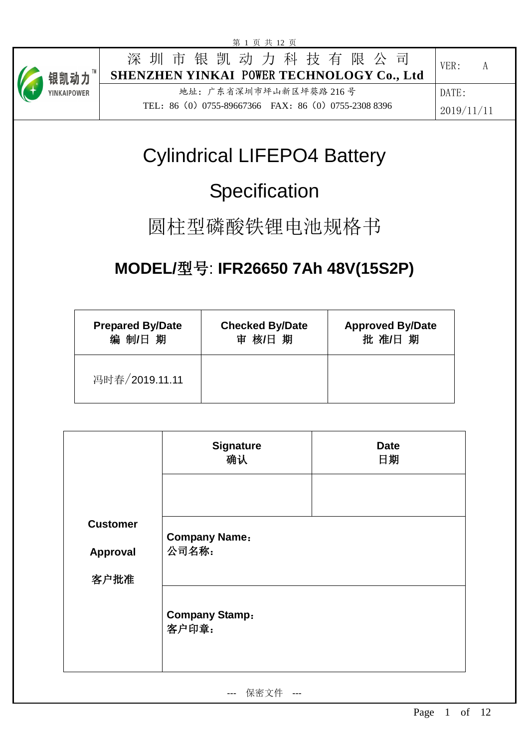

# Cylindrical LIFEPO4 Battery

# **Specification**

## 圆柱型磷酸铁锂电池规格书

## **MODEL/**型号: **IFR26650 7Ah 48V(15S2P)**

| <b>Prepared By/Date</b> | <b>Checked By/Date</b> | <b>Approved By/Date</b> |
|-------------------------|------------------------|-------------------------|
| 编 制/日 期                 | 审 核/日 期                | 批 准/日 期                 |
| 冯时春/2019.11.11          |                        |                         |

|                 | <b>Signature</b><br>确认         | <b>Date</b><br>日期 |
|-----------------|--------------------------------|-------------------|
|                 |                                |                   |
| <b>Customer</b> | <b>Company Name:</b>           |                   |
| Approval        | 公司名称:                          |                   |
| 客户批准            |                                |                   |
|                 | <b>Company Stamp:</b><br>客户印章: |                   |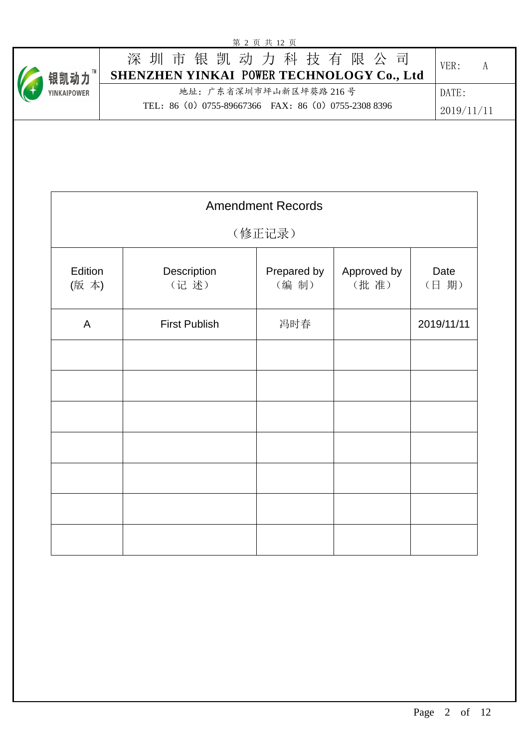|                 |                                                            | 第 2 页 共 12 页             |                     |              |   |
|-----------------|------------------------------------------------------------|--------------------------|---------------------|--------------|---|
| 银凯动力™           | 深圳市银凯动力科技有限公司<br>SHENZHEN YINKAI POWER TECHNOLOGY Co., Ltd |                          |                     | VER:         | A |
| YINKAIPOWER     |                                                            | 地址: 广东省深圳市坪山新区坪葵路 216号   |                     | DATE:        |   |
|                 | TEL: 86 (0) 0755-89667366 FAX: 86 (0) 0755-2308 8396       |                          |                     | 2019/11/11   |   |
|                 |                                                            |                          |                     |              |   |
|                 |                                                            | <b>Amendment Records</b> |                     |              |   |
|                 |                                                            | (修正记录)                   |                     |              |   |
| Edition<br>(版本) | Description<br>(记述)                                        | Prepared by<br>(编制)      | Approved by<br>(批准) | Date<br>(日期) |   |
| $\mathsf{A}$    | <b>First Publish</b>                                       | 冯时春                      |                     | 2019/11/11   |   |
|                 |                                                            |                          |                     |              |   |
|                 |                                                            |                          |                     |              |   |
|                 |                                                            |                          |                     |              |   |
|                 |                                                            |                          |                     |              |   |
|                 |                                                            |                          |                     |              |   |
|                 |                                                            |                          |                     |              |   |
|                 |                                                            |                          |                     |              |   |
|                 |                                                            |                          |                     |              |   |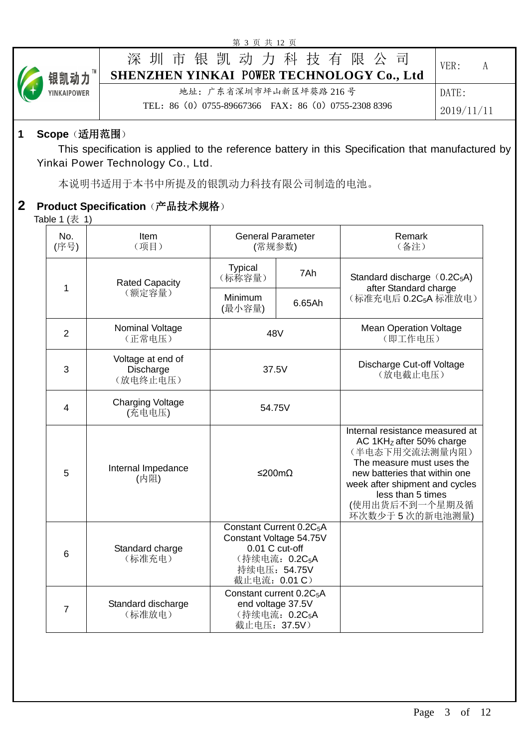|             | 第 3 页 共 12 页                                               |            |
|-------------|------------------------------------------------------------|------------|
| ● 银凯动力™     | 深圳市银凯动力科技有限公司<br>SHENZHEN YINKAI POWER TECHNOLOGY Co., Ltd | VER:<br>A  |
| YINKAIPOWER | 地址: 广东省深圳市坪山新区坪葵路 216号                                     | DATE:      |
|             | TEL: 86 (0) 0755-89667366 FAX: 86 (0) 0755-2308 8396       | 2019/11/11 |

### **1 Scope**(适用范围)

This specification is applied to the reference battery in this Specification that manufactured by Yinkai Power Technology Co., Ltd.

本说明书适用于本书中所提及的银凯动力科技有限公司制造的电池。

## **2 Product Specification**(产品技术规格)

Table  $1$  ( $\bar{\mathcal{R}}$  1)

| No.<br>(序号)    | Item<br>(项目)                               | <b>General Parameter</b><br>(常规参数)                                                                                                                 |        | Remark<br>(备注)                                                                                                                                                                                                                           |
|----------------|--------------------------------------------|----------------------------------------------------------------------------------------------------------------------------------------------------|--------|------------------------------------------------------------------------------------------------------------------------------------------------------------------------------------------------------------------------------------------|
| 1              | <b>Rated Capacity</b>                      | <b>Typical</b><br>(标称容量)                                                                                                                           | 7Ah    | Standard discharge (0.2C <sub>5</sub> A)<br>after Standard charge                                                                                                                                                                        |
|                | (额定容量)                                     | Minimum<br>(最小容量)                                                                                                                                  | 6.65Ah | (标准充电后 0.2C <sub>5</sub> A 标准放电)                                                                                                                                                                                                         |
| $\overline{2}$ | Nominal Voltage<br>(正常电压)                  | 48V                                                                                                                                                |        | <b>Mean Operation Voltage</b><br>(即工作电压)                                                                                                                                                                                                 |
| 3              | Voltage at end of<br>Discharge<br>(放电终止电压) | 37.5V                                                                                                                                              |        | Discharge Cut-off Voltage<br>(放电截止电压)                                                                                                                                                                                                    |
| $\overline{4}$ | <b>Charging Voltage</b><br>(充电电压)          | 54.75V                                                                                                                                             |        |                                                                                                                                                                                                                                          |
| 5              | Internal Impedance<br>(内阻)                 | ≤200mΩ                                                                                                                                             |        | Internal resistance measured at<br>AC $1KHZ$ after 50% charge<br>(半电态下用交流法测量内阻)<br>The measure must uses the<br>new batteries that within one<br>week after shipment and cycles<br>less than 5 times<br>(使用出货后不到一个星期及循<br>环次数少于5次的新电池测量) |
| 6              | Standard charge<br>(标准充电)                  | Constant Current 0.2C <sub>5</sub> A<br>Constant Voltage 54.75V<br>$0.01$ C cut-off<br>(持续电流: 0.2C <sub>5</sub> A<br>持续电压: 54.75V<br>截止电流: 0.01 C) |        |                                                                                                                                                                                                                                          |
| $\overline{7}$ | Standard discharge<br>(标准放电)               | Constant current 0.2C <sub>5</sub> A<br>end voltage 37.5V<br>(持续电流: 0.2C <sub>5</sub> A<br>截止电压: 37.5V)                                            |        |                                                                                                                                                                                                                                          |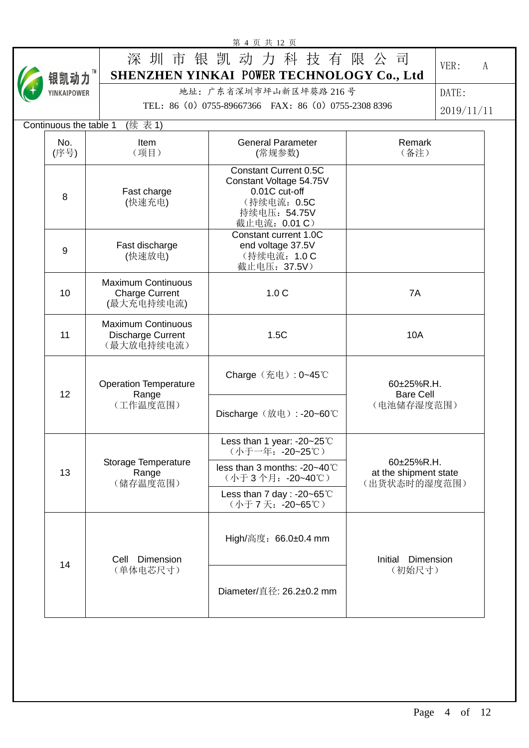|                        |                                                                  | 第 4 页 共 12 页                                                                                                             |                                                     |            |
|------------------------|------------------------------------------------------------------|--------------------------------------------------------------------------------------------------------------------------|-----------------------------------------------------|------------|
|                        |                                                                  | 深圳市银凯动力科技有限公司                                                                                                            |                                                     | VER:<br>A  |
| 银凯动力™                  |                                                                  | SHENZHEN YINKAI POWER TECHNOLOGY Co., Ltd                                                                                |                                                     |            |
| YINKAIPOWER            |                                                                  | 地址: 广东省深圳市坪山新区坪葵路 216号                                                                                                   |                                                     | DATE:      |
|                        |                                                                  | TEL: 86 (0) 0755-89667366 FAX: 86 (0) 0755-2308 8396                                                                     |                                                     | 2019/11/11 |
| Continuous the table 1 | (续表1)                                                            |                                                                                                                          |                                                     |            |
| No.<br>(序号)            | Item<br>(项目)                                                     | <b>General Parameter</b><br>(常规参数)                                                                                       | Remark<br>(备注)                                      |            |
| 8                      | Fast charge<br>(快速充电)                                            | <b>Constant Current 0.5C</b><br>Constant Voltage 54.75V<br>0.01C cut-off<br>(持续电流: 0.5C<br>持续电压: 54.75V<br>截止电流: 0.01 C) |                                                     |            |
| 9                      | Fast discharge<br>(快速放电)                                         | Constant current 1.0C<br>end voltage 37.5V<br>(持续电流: 1.0 C<br>截止电压: 37.5V)                                               |                                                     |            |
| 10                     | <b>Maximum Continuous</b><br><b>Charge Current</b><br>(最大充电持续电流) | 1.0 <sub>C</sub>                                                                                                         | 7A                                                  |            |
| 11                     | <b>Maximum Continuous</b><br>Discharge Current<br>(最大放电持续电流)     | 1.5C                                                                                                                     | <b>10A</b>                                          |            |
| 12                     | <b>Operation Temperature</b><br>Range                            | Charge (充电): 0~45℃                                                                                                       | 60±25%R.H.<br><b>Bare Cell</b>                      |            |
|                        | (工作温度范围)                                                         | Discharge (放电): -20~60℃                                                                                                  | (电池储存湿度范围)                                          |            |
|                        |                                                                  | Less than 1 year: -20~25°C<br>(小于一年: -20~25℃)                                                                            |                                                     |            |
| 13                     | Storage Temperature<br>Range<br>(储存温度范围)                         | less than 3 months: $-20-40^{\circ}$ C<br>(小于3个月: -20~40℃)                                                               | 60±25%R.H.<br>at the shipment state<br>(出货状态时的湿度范围) |            |
|                        |                                                                  | Less than 7 day : -20~65 $°C$<br>(小于7天: -20~65℃)                                                                         |                                                     |            |
| 14                     | Cell Dimension                                                   | High/高度: 66.0±0.4 mm                                                                                                     | Dimension<br>Initial                                |            |
|                        | (单体电芯尺寸)                                                         | Diameter/直径: 26.2±0.2 mm                                                                                                 | (初始尺寸)                                              |            |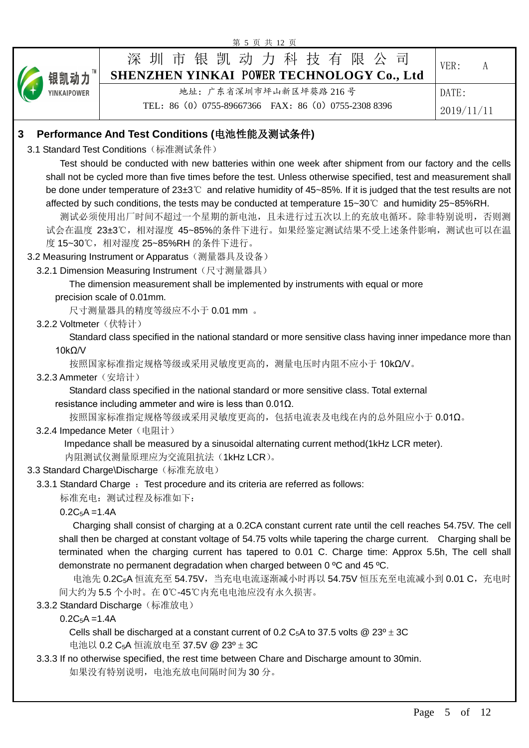|                       | 第 5 页 共 12 页                                                                                                                                              |            |
|-----------------------|-----------------------------------------------------------------------------------------------------------------------------------------------------------|------------|
|                       | 深 圳 市 银 凯 动 力 科 技 有 限 公 司                                                                                                                                 |            |
| 银凯动力                  | SHENZHEN YINKAI POWER TECHNOLOGY Co., Ltd                                                                                                                 | VER:<br>A  |
| YINKAIPOWER           | 地址: 广东省深圳市坪山新区坪葵路 216号                                                                                                                                    | DATE:      |
|                       | TEL: 86 (0) 0755-89667366 FAX: 86 (0) 0755-2308 8396                                                                                                      |            |
|                       |                                                                                                                                                           | 2019/11/11 |
| 3                     | Performance And Test Conditions (电池性能及测试条件)                                                                                                               |            |
|                       | 3.1 Standard Test Conditions (标准测试条件)                                                                                                                     |            |
|                       | Test should be conducted with new batteries within one week after shipment from our factory and the cells                                                 |            |
|                       | shall not be cycled more than five times before the test. Unless otherwise specified, test and measurement shall                                          |            |
|                       | be done under temperature of $23\pm3^{\circ}$ and relative humidity of 45~85%. If it is judged that the test results are not                              |            |
|                       | affected by such conditions, the tests may be conducted at temperature 15~30°C and humidity 25~85%RH.                                                     |            |
|                       | 测试必须使用出厂时间不超过一个星期的新电池,且未进行过五次以上的充放电循环。除非特别说明,否则测                                                                                                          |            |
|                       | 试会在温度 23±3℃, 相对湿度 45~85%的条件下进行。如果经鉴定测试结果不受上述条件影响, 测试也可以在温                                                                                                 |            |
|                       | 度 15~30℃, 相对湿度 25~85%RH 的条件下进行。                                                                                                                           |            |
|                       | 3.2 Measuring Instrument or Apparatus (测量器具及设备)<br>3.2.1 Dimension Measuring Instrument (尺寸测量器具)                                                          |            |
|                       | The dimension measurement shall be implemented by instruments with equal or more                                                                          |            |
|                       | precision scale of 0.01mm.                                                                                                                                |            |
|                       | 尺寸测量器具的精度等级应不小于 0.01 mm 。                                                                                                                                 |            |
| 3.2.2 Voltmeter (伏特计) |                                                                                                                                                           |            |
|                       | Standard class specified in the national standard or more sensitive class having inner impedance more than                                                |            |
| $10k\Omega/V$         |                                                                                                                                                           |            |
|                       | 按照国家标准指定规格等级或采用灵敏度更高的, 测量电压时内阻不应小于10kΩN。                                                                                                                  |            |
| 3.2.3 Ammeter (安培计)   |                                                                                                                                                           |            |
|                       | Standard class specified in the national standard or more sensitive class. Total external                                                                 |            |
|                       | resistance including ammeter and wire is less than $0.01\Omega$ .<br>按照国家标准指定规格等级或采用灵敏度更高的,包括电流表及电线在内的总外阻应小于 0.01Ω。                                       |            |
|                       | 3.2.4 Impedance Meter (电阻计)                                                                                                                               |            |
|                       | Impedance shall be measured by a sinusoidal alternating current method(1kHz LCR meter).                                                                   |            |
|                       | 内阻测试仪测量原理应为交流阻抗法(1kHz LCR)。                                                                                                                               |            |
|                       | 3.3 Standard Charge\Discharge (标准充放电)                                                                                                                     |            |
|                       | 3.3.1 Standard Charge : Test procedure and its criteria are referred as follows:                                                                          |            |
|                       | 标准充电: 测试过程及标准如下:                                                                                                                                          |            |
| $0.2C_5A = 1.4A$      |                                                                                                                                                           |            |
|                       | Charging shall consist of charging at a 0.2CA constant current rate until the cell reaches 54.75V. The cell                                               |            |
|                       | shall then be charged at constant voltage of 54.75 volts while tapering the charge current. Charging shall be                                             |            |
|                       | terminated when the charging current has tapered to 0.01 C. Charge time: Approx 5.5h, The cell shall                                                      |            |
|                       | demonstrate no permanent degradation when charged between 0 °C and 45 °C.<br>电池先 0.2C <sub>5</sub> A 恒流充至 54.75V,当充电电流逐渐减小时再以 54.75V 恒压充至电流减小到 0.01 C,充电时 |            |
|                       | 间大约为5.5个小时。在0℃-45℃内充电电池应没有永久损害。                                                                                                                           |            |
|                       | 3.3.2 Standard Discharge (标准放电)                                                                                                                           |            |
| $0.2C_5A = 1.4A$      |                                                                                                                                                           |            |
|                       | Cells shall be discharged at a constant current of 0.2 C <sub>5</sub> A to 37.5 volts @ 23 <sup>o</sup> $\pm$ 3C                                          |            |
|                       | 电池以 0.2 C <sub>5</sub> A 恒流放电至 37.5V @ 23 <sup>o</sup> ± 3C                                                                                               |            |
|                       | 3.3.3 If no otherwise specified, the rest time between Chare and Discharge amount to 30min.                                                               |            |
|                       | 如果没有特别说明, 电池充放电间隔时间为30分。                                                                                                                                  |            |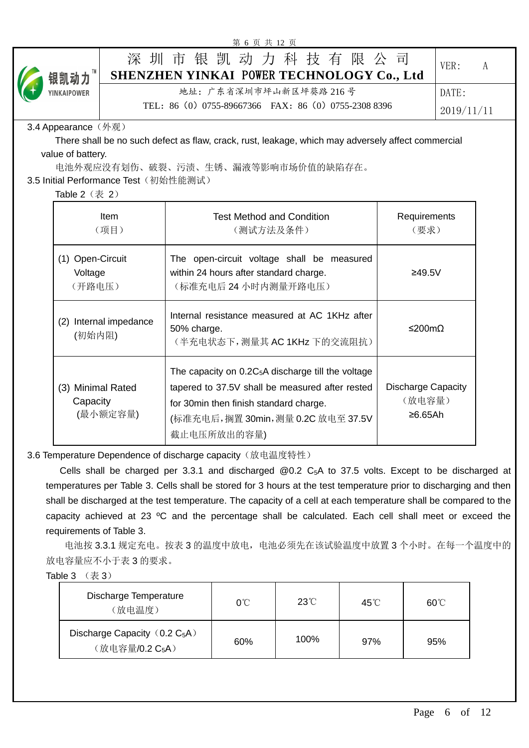| 第 6 页 共 12 页                              |                                                                                                                                                                                                       |                                                |            |   |
|-------------------------------------------|-------------------------------------------------------------------------------------------------------------------------------------------------------------------------------------------------------|------------------------------------------------|------------|---|
| 洣<br>银凯动力™                                | 圳市银凯动力科技有限公司<br>SHENZHEN YINKAI POWER TECHNOLOGY Co., Ltd                                                                                                                                             |                                                | VER:       | A |
| YINKAIPOWER                               | 地址: 广东省深圳市坪山新区坪葵路 216号                                                                                                                                                                                |                                                | DATE:      |   |
|                                           | TEL: 86 (0) 0755-89667366 FAX: 86 (0) 0755-2308 8396                                                                                                                                                  |                                                | 2019/11/11 |   |
|                                           |                                                                                                                                                                                                       |                                                |            |   |
| 3.4 Appearance (外观)                       | There shall be no such defect as flaw, crack, rust, leakage, which may adversely affect commercial                                                                                                    |                                                |            |   |
| value of battery.                         |                                                                                                                                                                                                       |                                                |            |   |
|                                           | 电池外观应没有划伤、破裂、污渍、生锈、漏液等影响市场价值的缺陷存在。                                                                                                                                                                    |                                                |            |   |
| 3.5 Initial Performance Test (初始性能测试)     |                                                                                                                                                                                                       |                                                |            |   |
| Table $2$ $(\frac{\pi}{6}, 2)$            |                                                                                                                                                                                                       |                                                |            |   |
| Item                                      | <b>Test Method and Condition</b>                                                                                                                                                                      | Requirements                                   |            |   |
| (项目)                                      | (测试方法及条件)                                                                                                                                                                                             | (要求)                                           |            |   |
|                                           |                                                                                                                                                                                                       |                                                |            |   |
| (1) Open-Circuit                          | The open-circuit voltage shall be measured                                                                                                                                                            |                                                |            |   |
| Voltage                                   | within 24 hours after standard charge.                                                                                                                                                                | ≥49.5V                                         |            |   |
| (开路电压)                                    | (标准充电后24小时内测量开路电压)                                                                                                                                                                                    |                                                |            |   |
| (2) Internal impedance<br>(初始内阻)          | Internal resistance measured at AC 1KHz after<br>50% charge.<br>(半充电状态下, 测量其 AC 1KHz 下的交流阻抗)                                                                                                          | ≤200mΩ                                         |            |   |
| (3) Minimal Rated<br>Capacity<br>(最小额定容量) | The capacity on $0.2C_5A$ discharge till the voltage<br>tapered to 37.5V shall be measured after rested<br>for 30min then finish standard charge.<br>(标准充电后,搁置 30min,测量 0.2C 放电至 37.5V<br>截止电压所放出的容量) | <b>Discharge Capacity</b><br>(放电容量)<br>≥6.65Ah |            |   |
|                                           | 3.6 Temperature Dependence of discharge capacity (放电温度特性)                                                                                                                                             |                                                |            |   |
|                                           | Cells shall be charged per 3.3.1 and discharged $@0.2$ C <sub>5</sub> A to 37.5 volts. Except to be discharged at                                                                                     |                                                |            |   |
|                                           | temperatures per Table 3. Cells shall be stored for 3 hours at the test temperature prior to discharging and then                                                                                     |                                                |            |   |
|                                           | shall be discharged at the test temperature. The capacity of a cell at each temperature shall be compared to the                                                                                      |                                                |            |   |
|                                           | capacity achieved at 23 °C and the percentage shall be calculated. Each cell shall meet or exceed the                                                                                                 |                                                |            |   |

 电池按 3.3.1 规定充电。按表 3 的温度中放电,电池必须先在该试验温度中放置 3 个小时。在每一个温度中的 放电容量应不小于表 3 的要求。

Table  $3 \quad (\not\equiv 3)$ 

requirements of Table 3.

| Discharge Temperature<br>(放电温度)                                              | 0°C | $23^{\circ}$ C | 45°C | $60^{\circ}$ C |
|------------------------------------------------------------------------------|-----|----------------|------|----------------|
| Discharge Capacity $(0.2\text{ C}_5\text{A})$<br>(放电容量/0.2 C <sub>5</sub> A) | 60% | 100%           | 97%  | 95%            |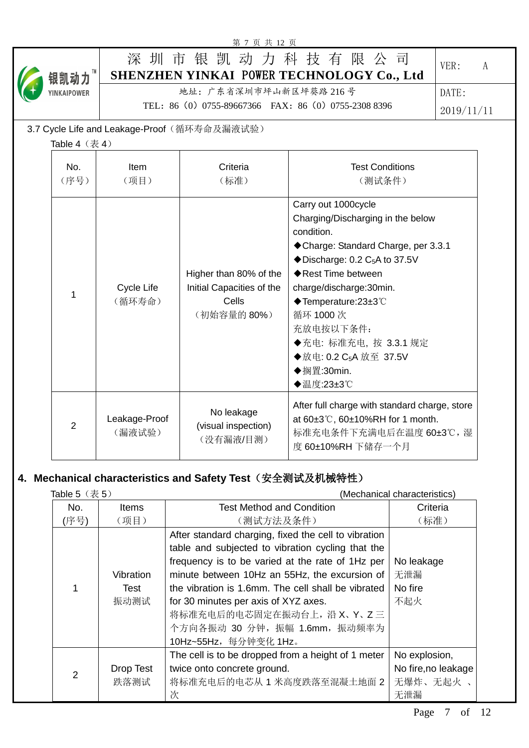|                                |                         | 第 7 页 共 12 页                                                               |                                                                                                                                                                                                                                                                                                                                                                       |            |
|--------------------------------|-------------------------|----------------------------------------------------------------------------|-----------------------------------------------------------------------------------------------------------------------------------------------------------------------------------------------------------------------------------------------------------------------------------------------------------------------------------------------------------------------|------------|
| 银凯动力™                          |                         |                                                                            | 深圳市银凯动力科技有限公司<br>SHENZHEN YINKAI POWER TECHNOLOGY Co., Ltd                                                                                                                                                                                                                                                                                                            | VER:<br>A  |
| <b>YINKAIPOWER</b>             |                         | 地址: 广东省深圳市坪山新区坪葵路 216号                                                     |                                                                                                                                                                                                                                                                                                                                                                       | DATE:      |
|                                |                         | TEL: 86 (0) 0755-89667366 FAX: 86 (0) 0755-2308 8396                       |                                                                                                                                                                                                                                                                                                                                                                       | 2019/11/11 |
|                                |                         | 3.7 Cycle Life and Leakage-Proof (循环寿命及漏液试验)                               |                                                                                                                                                                                                                                                                                                                                                                       |            |
| Table $4$ $(\frac{\pi}{6}, 4)$ |                         |                                                                            |                                                                                                                                                                                                                                                                                                                                                                       |            |
| No.<br>(序号)                    | Item<br>(项目)            | Criteria<br>(标准)                                                           | <b>Test Conditions</b><br>(测试条件)                                                                                                                                                                                                                                                                                                                                      |            |
| 1                              | Cycle Life<br>(循环寿命)    | Higher than 80% of the<br>Initial Capacities of the<br>Cells<br>(初始容量的80%) | Carry out 1000cycle<br>Charging/Discharging in the below<br>condition.<br>◆ Charge: Standard Charge, per 3.3.1<br>$\blacklozenge$ Discharge: 0.2 C <sub>5</sub> A to 37.5V<br>◆ Rest Time between<br>charge/discharge:30min.<br>◆Temperature:23±3℃<br>循环 1000次<br>充放电按以下条件:<br>◆充电: 标准充电, 按 3.3.1 规定<br>◆放电: 0.2 C <sub>5</sub> A 放至 37.5V<br>◆搁置:30min.<br>◆温度:23±3℃ |            |
| $\overline{2}$                 | Leakage-Proof<br>(漏液试验) | No leakage<br>(visual inspection)<br>(没有漏液/目测)                             | After full charge with standard charge, store<br>at 60±3°C, 60±10%RH for 1 month.<br>标准充电条件下充满电后在温度 60±3℃, 湿<br>度 60±10%RH 下储存一个月                                                                                                                                                                                                                                     |            |

## **4. Mechanical characteristics and Safety Test**(安全测试及机械特性)

| Table $5$ $(\bar{\bar{\mathcal{R}}} 5)$ |                           | (Mechanical characteristics)                                                                                                                                                                                                                                                                                                                                                 |                                                          |  |
|-----------------------------------------|---------------------------|------------------------------------------------------------------------------------------------------------------------------------------------------------------------------------------------------------------------------------------------------------------------------------------------------------------------------------------------------------------------------|----------------------------------------------------------|--|
| No.                                     | <b>Items</b>              | <b>Test Method and Condition</b>                                                                                                                                                                                                                                                                                                                                             | Criteria                                                 |  |
| (序号)                                    | (项目)                      | (测试方法及条件)                                                                                                                                                                                                                                                                                                                                                                    | (标准)                                                     |  |
|                                         | Vibration<br>Test<br>振动测试 | After standard charging, fixed the cell to vibration<br>table and subjected to vibration cycling that the<br>frequency is to be varied at the rate of 1Hz per<br>minute between 10Hz an 55Hz, the excursion of<br>the vibration is 1.6mm. The cell shall be vibrated<br>for 30 minutes per axis of XYZ axes.<br>将标准充电后的电芯固定在振动台上, 沿 X、Y、Z 三<br>个方向各振动 30 分钟, 振幅 1.6mm, 振动频率为 | No leakage<br>无泄漏<br>No fire<br>不起火                      |  |
|                                         |                           | 10Hz~55Hz, 每分钟变化 1Hz。                                                                                                                                                                                                                                                                                                                                                        |                                                          |  |
| $\overline{2}$                          | Drop Test<br>跌落测试         | The cell is to be dropped from a height of 1 meter<br>twice onto concrete ground.<br>将标准充电后的电芯从1米高度跌落至混凝土地面2<br>次                                                                                                                                                                                                                                                            | No explosion,<br>No fire, no leakage<br>无爆炸、无起火 、<br>无泄漏 |  |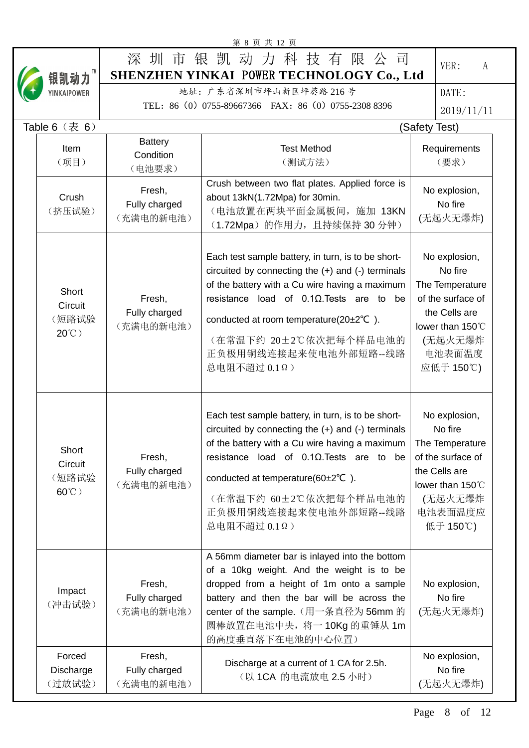|                                           |                                      | 第 8 页 共 12 页                                                                                                                                                                                                                                                                                                                                |                                                                                                                                         |
|-------------------------------------------|--------------------------------------|---------------------------------------------------------------------------------------------------------------------------------------------------------------------------------------------------------------------------------------------------------------------------------------------------------------------------------------------|-----------------------------------------------------------------------------------------------------------------------------------------|
| 银凯动力™                                     |                                      | 深圳市银凯动力科技有限公司<br>SHENZHEN YINKAI POWER TECHNOLOGY Co., Ltd                                                                                                                                                                                                                                                                                  | VER:<br>A                                                                                                                               |
| YINKAIPOWER                               |                                      | 地址: 广东省深圳市坪山新区坪葵路 216号                                                                                                                                                                                                                                                                                                                      | DATE:                                                                                                                                   |
|                                           |                                      | TEL: 86 (0) 0755-89667366 FAX: 86 (0) 0755-2308 8396                                                                                                                                                                                                                                                                                        | 2019/11/11                                                                                                                              |
| Table $6$ $(\frac{\pi}{6}, 6)$            |                                      |                                                                                                                                                                                                                                                                                                                                             | (Safety Test)                                                                                                                           |
|                                           | <b>Battery</b>                       |                                                                                                                                                                                                                                                                                                                                             |                                                                                                                                         |
| Item<br>(项目)                              | Condition<br>(电池要求)                  | <b>Test Method</b><br>(测试方法)                                                                                                                                                                                                                                                                                                                | Requirements<br>(要求)                                                                                                                    |
| Crush<br>(挤压试验)                           | Fresh,<br>Fully charged<br>(充满电的新电池) | Crush between two flat plates. Applied force is<br>about 13kN(1.72Mpa) for 30min.<br>(电池放置在两块平面金属板间, 施加 13KN<br>(1.72Mpa) 的作用力, 且持续保持 30 分钟)                                                                                                                                                                                                | No explosion,<br>No fire<br>(无起火无爆炸)                                                                                                    |
| Short<br>Circuit<br>(短路试验<br>$20^{\circ}$ | Fresh,<br>Fully charged<br>(充满电的新电池) | Each test sample battery, in turn, is to be short-<br>circuited by connecting the $(+)$ and $(-)$ terminals<br>of the battery with a Cu wire having a maximum<br>resistance load of $0.1\Omega$ . Tests are to be<br>conducted at room temperature( $20\pm2^{\circ}C$ ).<br>(在常温下约 20±2℃依次把每个样品电池的<br>正负极用铜线连接起来使电池外部短路--线路<br>总电阻不超过 0.1Ω) | No explosion,<br>No fire<br>The Temperature<br>of the surface of<br>the Cells are<br>lower than 150°C<br>(无起火无爆炸<br>电池表面温度<br>应低于 150℃) |
| Short<br>Circuit<br>(短路试验<br>$60^{\circ}$ | Fresh,<br>Fully charged<br>(充满电的新电池) | Each test sample battery, in turn, is to be short-<br>circuited by connecting the $(+)$ and $(-)$ terminals<br>of the battery with a Cu wire having a maximum<br>resistance load of $0.1\Omega$ . Tests are to be<br>conducted at temperature( $60\pm2\degree$ C).<br>(在常温下约 60±2℃依次把每个样品电池的<br>正负极用铜线连接起来使电池外部短路--线路<br>总电阻不超过 0.1Ω)       | No explosion,<br>No fire<br>The Temperature<br>of the surface of<br>the Cells are<br>lower than 150°C<br>(无起火无爆炸<br>电池表面温度应<br>低于 150℃) |
| Impact<br>(冲击试验)                          | Fresh,<br>Fully charged<br>(充满电的新电池) | A 56mm diameter bar is inlayed into the bottom<br>of a 10kg weight. And the weight is to be<br>dropped from a height of 1m onto a sample<br>battery and then the bar will be across the<br>center of the sample. (用一条直径为 56mm 的<br>圆棒放置在电池中央, 将一 10Kg 的重锤从 1m<br>的高度垂直落下在电池的中心位置)                                                           | No explosion,<br>No fire<br>(无起火无爆炸)                                                                                                    |
| Forced<br>Discharge<br>(过放试验)             | Fresh,<br>Fully charged<br>(充满电的新电池) | Discharge at a current of 1 CA for 2.5h.<br>(以 1CA 的电流放电 2.5 小时)                                                                                                                                                                                                                                                                            | No explosion,<br>No fire<br>(无起火无爆炸)                                                                                                    |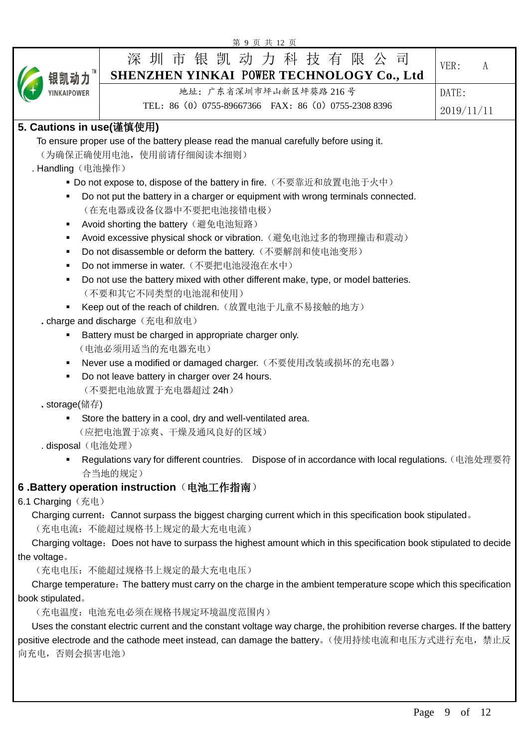|                                                                                                                         | 第9页共12页                                                                                                                                                                                |            |  |  |  |  |
|-------------------------------------------------------------------------------------------------------------------------|----------------------------------------------------------------------------------------------------------------------------------------------------------------------------------------|------------|--|--|--|--|
| 银凯动力™                                                                                                                   | 深 圳 市 银 凯 动 力 科 技 有 限 公<br>同<br>SHENZHEN YINKAI POWER TECHNOLOGY Co., Ltd                                                                                                              | VER:<br>A  |  |  |  |  |
| YINKAIPOWER                                                                                                             | 地址: 广东省深圳市坪山新区坪葵路 216号                                                                                                                                                                 | DATE:      |  |  |  |  |
|                                                                                                                         | TEL: 86 (0) 0755-89667366 FAX: 86 (0) 0755-2308 8396                                                                                                                                   | 2019/11/11 |  |  |  |  |
| 5. Cautions in use(谨慎使用)                                                                                                |                                                                                                                                                                                        |            |  |  |  |  |
| . Handling (电池操作)                                                                                                       | To ensure proper use of the battery please read the manual carefully before using it.<br>(为确保正确使用电池, 使用前请仔细阅读本细则)<br>■ Do not expose to, dispose of the battery in fire.(不要靠近和放置电池于火中) |            |  |  |  |  |
| ٠                                                                                                                       | Do not put the battery in a charger or equipment with wrong terminals connected.<br>(在充电器或设备仪器中不要把电池接错电极)                                                                              |            |  |  |  |  |
|                                                                                                                         | Avoid shorting the battery (避免电池短路)                                                                                                                                                    |            |  |  |  |  |
|                                                                                                                         | Avoid excessive physical shock or vibration. (避免电池过多的物理撞击和震动)<br>Do not disassemble or deform the battery. (不要解剖和使电池变形)                                                                |            |  |  |  |  |
| ٠                                                                                                                       | Do not immerse in water. (不要把电池浸泡在水中)                                                                                                                                                  |            |  |  |  |  |
| Do not use the battery mixed with other different make, type, or model batteries.<br>(不要和其它不同类型的电池混和使用)                 |                                                                                                                                                                                        |            |  |  |  |  |
|                                                                                                                         | Keep out of the reach of children. (放置电池于儿童不易接触的地方)                                                                                                                                    |            |  |  |  |  |
|                                                                                                                         | . charge and discharge (充电和放电)                                                                                                                                                         |            |  |  |  |  |
| ٠                                                                                                                       | Battery must be charged in appropriate charger only.                                                                                                                                   |            |  |  |  |  |
|                                                                                                                         | (电池必须用适当的充电器充电)                                                                                                                                                                        |            |  |  |  |  |
|                                                                                                                         | Never use a modified or damaged charger. (不要使用改装或损坏的充电器)                                                                                                                               |            |  |  |  |  |
| Do not leave battery in charger over 24 hours.<br>(不要把电池放置于充电器超过 24h)                                                   |                                                                                                                                                                                        |            |  |  |  |  |
| . storage(储存)                                                                                                           |                                                                                                                                                                                        |            |  |  |  |  |
|                                                                                                                         | Store the battery in a cool, dry and well-ventilated area.<br>(应把电池置于凉爽、干燥及通风良好的区域)                                                                                                    |            |  |  |  |  |
| .disposal(电池处理)                                                                                                         |                                                                                                                                                                                        |            |  |  |  |  |
|                                                                                                                         | Regulations vary for different countries. Dispose of in accordance with local regulations. (电池处理要符<br>合当地的规定)                                                                          |            |  |  |  |  |
|                                                                                                                         | 6 .Battery operation instruction (电池工作指南)                                                                                                                                              |            |  |  |  |  |
| 6.1 Charging (充电)                                                                                                       |                                                                                                                                                                                        |            |  |  |  |  |
|                                                                                                                         | Charging current: Cannot surpass the biggest charging current which in this specification book stipulated.<br>(充电电流: 不能超过规格书上规定的最大充电电流)                                                |            |  |  |  |  |
| Charging voltage: Does not have to surpass the highest amount which in this specification book stipulated to decide     |                                                                                                                                                                                        |            |  |  |  |  |
| the voltage.                                                                                                            | (充电电压: 不能超过规格书上规定的最大充电电压)                                                                                                                                                              |            |  |  |  |  |
| Charge temperature: The battery must carry on the charge in the ambient temperature scope which this specification      |                                                                                                                                                                                        |            |  |  |  |  |
| book stipulated.<br>(充电温度: 电池充电必须在规格书规定环境温度范围内)                                                                         |                                                                                                                                                                                        |            |  |  |  |  |
| Uses the constant electric current and the constant voltage way charge, the prohibition reverse charges. If the battery |                                                                                                                                                                                        |            |  |  |  |  |
| positive electrode and the cathode meet instead, can damage the battery。(使用持续电流和电压方式进行充电,禁止反<br>向充电, 否则会损害电池)           |                                                                                                                                                                                        |            |  |  |  |  |
|                                                                                                                         |                                                                                                                                                                                        |            |  |  |  |  |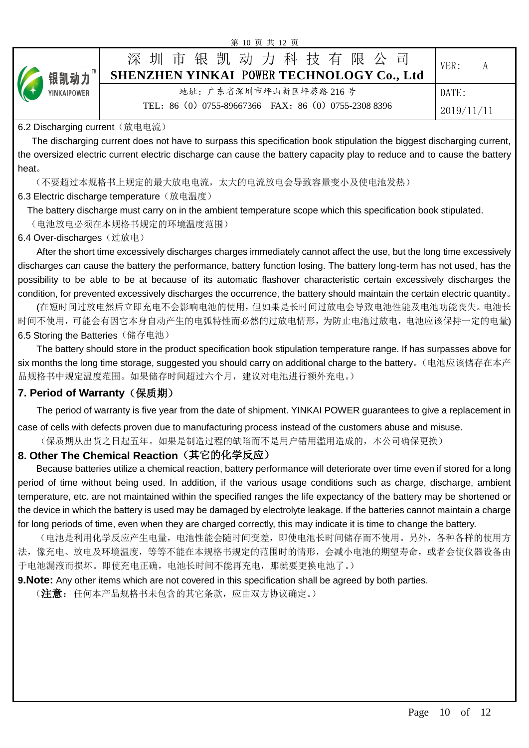| 第 10 呎 六 12 呎 |  |                                                            |            |  |  |  |  |
|---------------|--|------------------------------------------------------------|------------|--|--|--|--|
| 【→ 银凯动力™      |  | 深圳市银凯动力科技有限公司<br>SHENZHEN YINKAI POWER TECHNOLOGY Co., Ltd | VER:<br>А  |  |  |  |  |
|               |  | 地址: 广东省深圳市坪山新区坪葵路 216号                                     | DATE:      |  |  |  |  |
|               |  | TEL: 86 (0) 0755-89667366 FAX: 86 (0) 0755-2308 8396       | 2019/11/11 |  |  |  |  |

 $107 + 124$ 

#### 6.2 Discharging current (放电电流)

 The discharging current does not have to surpass this specification book stipulation the biggest discharging current, the oversized electric current electric discharge can cause the battery capacity play to reduce and to cause the battery heat。

(不要超过本规格书上规定的最大放电电流,太大的电流放电会导致容量变小及使电池发热)

6.3 Electric discharge temperature (放电温度)

The battery discharge must carry on in the ambient temperature scope which this specification book stipulated.

(电池放电必须在本规格书规定的环境温度范围)

6.4 Over-discharges (过放电)

After the short time excessively discharges charges immediately cannot affect the use, but the long time excessively discharges can cause the battery the performance, battery function losing. The battery long-term has not used, has the possibility to be able to be at because of its automatic flashover characteristic certain excessively discharges the condition, for prevented excessively discharges the occurrence, the battery should maintain the certain electric quantity。

(在短时间过放电然后立即充电不会影响电池的使用,但如果是长时间过放电会导致电池性能及电池功能丧失。电池长 时间不使用,可能会有因它本身自动产生的电弧特性而必然的过放电情形,为防止电池过放电,电池应该保持一定的电量) 6.5 Storing the Batteries (储存电池)

The battery should store in the product specification book stipulation temperature range. If has surpasses above for six months the long time storage, suggested you should carry on additional charge to the battery。(电池应该储存在本产 品规格书中规定温度范围。如果储存时间超过六个月,建议对电池进行额外充电。)

### **7. Period of Warranty**(保质期)

The period of warranty is five year from the date of shipment. YINKAI POWER guarantees to give a replacement in

case of cells with defects proven due to manufacturing process instead of the customers abuse and misuse. (保质期从出货之日起五年。如果是制造过程的缺陷而不是用户错用滥用造成的,本公司确保更换)

#### **8. Other The Chemical Reaction**(其它的化学反应)

Because batteries utilize a chemical reaction, battery performance will deteriorate over time even if stored for a long period of time without being used. In addition, if the various usage conditions such as charge, discharge, ambient temperature, etc. are not maintained within the specified ranges the life expectancy of the battery may be shortened or the device in which the battery is used may be damaged by electrolyte leakage. If the batteries cannot maintain a charge for long periods of time, even when they are charged correctly, this may indicate it is time to change the battery.

(电池是利用化学反应产生电量,电池性能会随时间变差,即使电池长时间储存而不使用。另外,各种各样的使用方 法,像充电、放电及环境温度,等等不能在本规格书规定的范围时的情形,会减小电池的期望寿命,或者会使仪器设备由 于电池漏液而损坏。即使充电正确,电池长时间不能再充电,那就要更换电池了。)

**9.Note:** Any other items which are not covered in this specification shall be agreed by both parties.

(注意: 任何本产品规格书未包含的其它条款,应由双方协议确定。)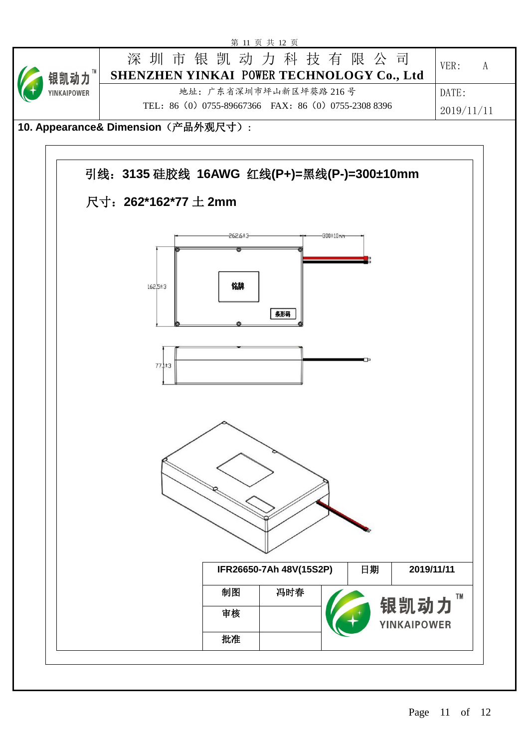